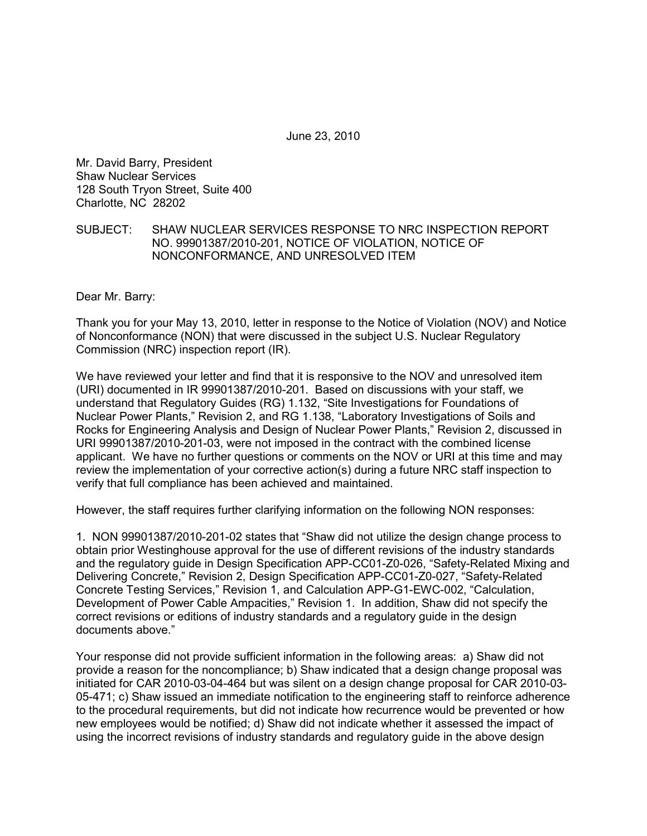June 23, 2010

Mr. David Barry, President Shaw Nuclear Services 128 South Tryon Street, Suite 400 Charlotte, NC 28202

## SUBJECT: SHAW NUCLEAR SERVICES RESPONSE TO NRC INSPECTION REPORT NO. 99901387/2010-201, NOTICE OF VIOLATION, NOTICE OF NONCONFORMANCE, AND UNRESOLVED ITEM

Dear Mr. Barry:

Thank you for your May 13, 2010, letter in response to the Notice of Violation (NOV) and Notice of Nonconformance (NON) that were discussed in the subject U.S. Nuclear Regulatory Commission (NRC) inspection report (IR).

We have reviewed your letter and find that it is responsive to the NOV and unresolved item (URI) documented in IR 99901387/2010-201. Based on discussions with your staff, we understand that Regulatory Guides (RG) 1.132, "Site Investigations for Foundations of Nuclear Power Plants," Revision 2, and RG 1.138, "Laboratory Investigations of Soils and Rocks for Engineering Analysis and Design of Nuclear Power Plants," Revision 2, discussed in URI 99901387/2010-201-03, were not imposed in the contract with the combined license applicant. We have no further questions or comments on the NOV or URI at this time and may review the implementation of your corrective action(s) during a future NRC staff inspection to verify that full compliance has been achieved and maintained.

However, the staff requires further clarifying information on the following NON responses:

1. NON 99901387/2010-201-02 states that "Shaw did not utilize the design change process to obtain prior Westinghouse approval for the use of different revisions of the industry standards and the regulatory guide in Design Specification APP-CC01-Z0-026, "Safety-Related Mixing and Delivering Concrete," Revision 2, Design Specification APP-CC01-Z0-027, "Safety-Related Concrete Testing Services," Revision 1, and Calculation APP-G1-EWC-002, "Calculation, Development of Power Cable Ampacities," Revision 1. In addition, Shaw did not specify the correct revisions or editions of industry standards and a regulatory guide in the design documents above."

Your response did not provide sufficient information in the following areas: a) Shaw did not provide a reason for the noncompliance; b) Shaw indicated that a design change proposal was initiated for CAR 2010-03-04-464 but was silent on a design change proposal for CAR 2010-03- 05-471; c) Shaw issued an immediate notification to the engineering staff to reinforce adherence to the procedural requirements, but did not indicate how recurrence would be prevented or how new employees would be notified; d) Shaw did not indicate whether it assessed the impact of using the incorrect revisions of industry standards and regulatory guide in the above design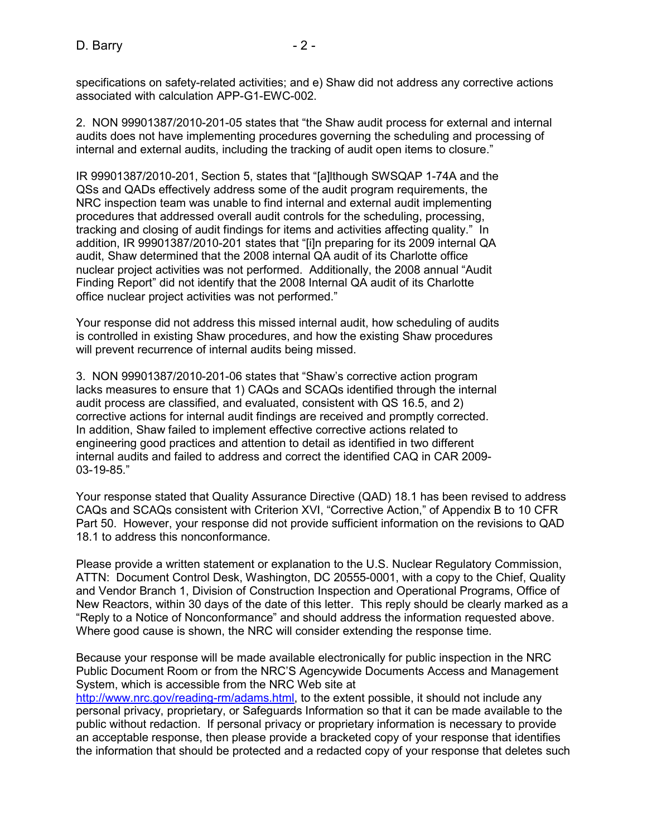specifications on safety-related activities; and e) Shaw did not address any corrective actions associated with calculation APP-G1-EWC-002.

2. NON 99901387/2010-201-05 states that "the Shaw audit process for external and internal audits does not have implementing procedures governing the scheduling and processing of internal and external audits, including the tracking of audit open items to closure."

IR 99901387/2010-201, Section 5, states that "[a]lthough SWSQAP 1-74A and the QSs and QADs effectively address some of the audit program requirements, the NRC inspection team was unable to find internal and external audit implementing procedures that addressed overall audit controls for the scheduling, processing, tracking and closing of audit findings for items and activities affecting quality." In addition, IR 99901387/2010-201 states that "[i]n preparing for its 2009 internal QA audit, Shaw determined that the 2008 internal QA audit of its Charlotte office nuclear project activities was not performed. Additionally, the 2008 annual "Audit Finding Report" did not identify that the 2008 Internal QA audit of its Charlotte office nuclear project activities was not performed."

Your response did not address this missed internal audit, how scheduling of audits is controlled in existing Shaw procedures, and how the existing Shaw procedures will prevent recurrence of internal audits being missed.

3. NON 99901387/2010-201-06 states that "Shaw's corrective action program lacks measures to ensure that 1) CAQs and SCAQs identified through the internal audit process are classified, and evaluated, consistent with QS 16.5, and 2) corrective actions for internal audit findings are received and promptly corrected. In addition, Shaw failed to implement effective corrective actions related to engineering good practices and attention to detail as identified in two different internal audits and failed to address and correct the identified CAQ in CAR 2009- 03-19-85."

Your response stated that Quality Assurance Directive (QAD) 18.1 has been revised to address CAQs and SCAQs consistent with Criterion XVI, "Corrective Action," of Appendix B to 10 CFR Part 50. However, your response did not provide sufficient information on the revisions to QAD 18.1 to address this nonconformance.

Please provide a written statement or explanation to the U.S. Nuclear Regulatory Commission, ATTN: Document Control Desk, Washington, DC 20555-0001, with a copy to the Chief, Quality and Vendor Branch 1, Division of Construction Inspection and Operational Programs, Office of New Reactors, within 30 days of the date of this letter. This reply should be clearly marked as a "Reply to a Notice of Nonconformance" and should address the information requested above. Where good cause is shown, the NRC will consider extending the response time.

Because your response will be made available electronically for public inspection in the NRC Public Document Room or from the NRC'S Agencywide Documents Access and Management System, which is accessible from the NRC Web site at

http://www.nrc.gov/reading-rm/adams.html, to the extent possible, it should not include any personal privacy, proprietary, or Safeguards Information so that it can be made available to the public without redaction. If personal privacy or proprietary information is necessary to provide an acceptable response, then please provide a bracketed copy of your response that identifies the information that should be protected and a redacted copy of your response that deletes such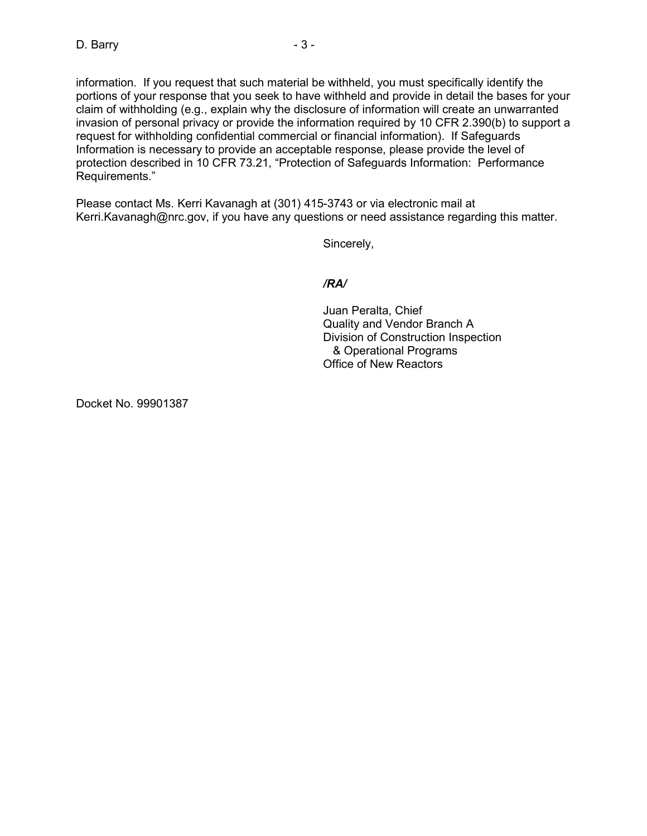information. If you request that such material be withheld, you must specifically identify the portions of your response that you seek to have withheld and provide in detail the bases for your claim of withholding (e.g., explain why the disclosure of information will create an unwarranted invasion of personal privacy or provide the information required by 10 CFR 2.390(b) to support a request for withholding confidential commercial or financial information). If Safeguards Information is necessary to provide an acceptable response, please provide the level of protection described in 10 CFR 73.21, "Protection of Safeguards Information: Performance Requirements."

Please contact Ms. Kerri Kavanagh at (301) 415-3743 or via electronic mail at Kerri.Kavanagh@nrc.gov, if you have any questions or need assistance regarding this matter.

Sincerely,

## */RA/*

Juan Peralta, Chief Quality and Vendor Branch A Division of Construction Inspection & Operational Programs Office of New Reactors

Docket No. 99901387